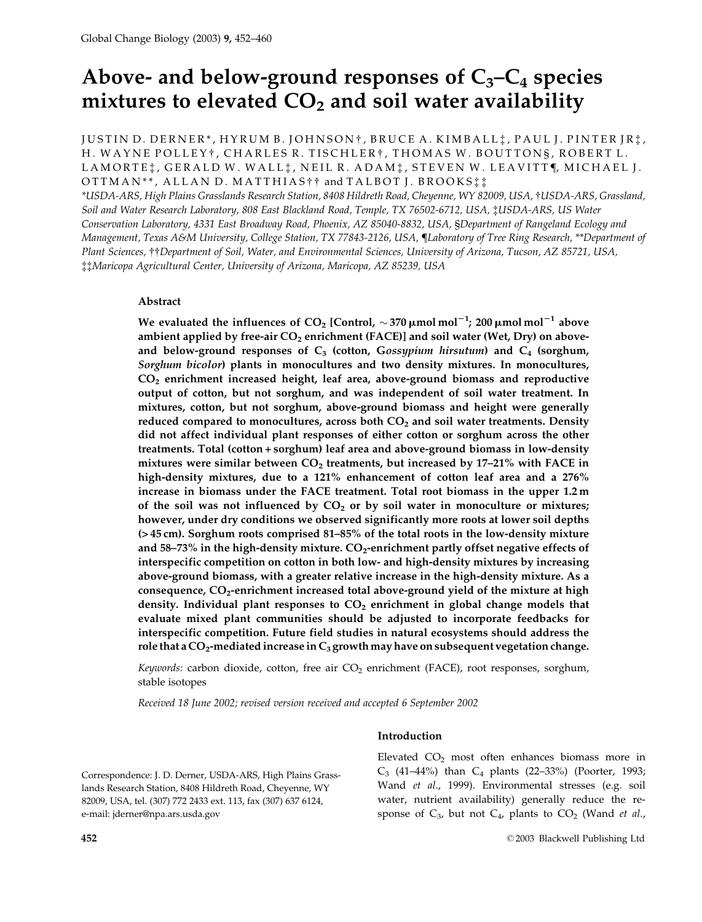# Above- and below-ground responses of  $C_3-C_4$  species mixtures to elevated  $CO<sub>2</sub>$  and soil water availability

JUSTIN D. DERNER\*, HYRUM B. JOHNSON†, BRUCE A. KIMBALL:, PAUL J. PINTER JR:, H. WAYNE POLLEY†, CHARLES R. TISCHLER†, THOMAS W. BOUTTONS, ROBERT L. LAMORTE: , GERALD W. WALL: , NEIL R. ADAM: , STEVEN W. LEAVITT¶, MICHAEL J. OTTMAN\*\*, ALLAN D. MATTHIAS<sup>†</sup>† and TALBOT J. BROOKS<sup>†</sup>.

\*USDA-ARS, High Plains Grasslands Research Station, 8408 Hildreth Road, Cheyenne, WY 82009, USA, †USDA-ARS, Grassland, Soil and Water Research Laboratory, 808 East Blackland Road, Temple, TX 76502-6712, USA, tUSDA-ARS, US Water Conservation Laboratory, 4331 East Broadway Road, Phoenix, AZ 85040-8832, USA, SDepartment of Rangeland Ecology and Management, Texas A&M University, College Station, TX 77843-2126, USA, ¶Laboratory of Tree Ring Research, \*\*Department of Plant Sciences, ††Department of Soil, Water, and Environmental Sciences, University of Arizona, Tucson, AZ 85721, USA, #Maricopa Agricultural Center, University of Arizona, Maricopa, AZ 85239, USA

# Abstract

We evaluated the influences of CO<sub>2</sub> [Control,  $\sim$  370  $\mu$ mol mol<sup>-1</sup>; 200  $\mu$ mol mol<sup>-1</sup> above ambient applied by free-air  $CO<sub>2</sub>$  enrichment (FACE)] and soil water (Wet, Dry) on aboveand below-ground responses of  $C_3$  (cotton, Gossypium hirsutum) and  $C_4$  (sorghum, Sorghum bicolor) plants in monocultures and two density mixtures. In monocultures,  $CO<sub>2</sub>$  enrichment increased height, leaf area, above-ground biomass and reproductive output of cotton, but not sorghum, and was independent of soil water treatment. In mixtures, cotton, but not sorghum, above-ground biomass and height were generally reduced compared to monocultures, across both CO<sub>2</sub> and soil water treatments. Density did not affect individual plant responses of either cotton or sorghum across the other treatments. Total (cotton + sorghum) leaf area and above-ground biomass in low-density mixtures were similar between  $CO<sub>2</sub>$  treatments, but increased by 17-21% with FACE in high-density mixtures, due to a 121% enhancement of cotton leaf area and a 276% increase in biomass under the FACE treatment. Total root biomass in the upper 1.2 m of the soil was not influenced by  $CO<sub>2</sub>$  or by soil water in monoculture or mixtures; however, under dry conditions we observed significantly more roots at lower soil depths (>45 cm). Sorghum roots comprised 81–85% of the total roots in the low-density mixture and 58-73% in the high-density mixture. CO<sub>2</sub>-enrichment partly offset negative effects of interspecific competition on cotton in both low- and high-density mixtures by increasing above-ground biomass, with a greater relative increase in the high-density mixture. As a consequence, CO<sub>2</sub>-enrichment increased total above-ground yield of the mixture at high density. Individual plant responses to  $CO<sub>2</sub>$  enrichment in global change models that evaluate mixed plant communities should be adjusted to incorporate feedbacks for interspecific competition. Future field studies in natural ecosystems should address the role that a  $CO<sub>2</sub>$ -mediated increase in  $C<sub>3</sub>$  growth may have on subsequent vegetation change.

Keywords: carbon dioxide, cotton, free air CO<sub>2</sub> enrichment (FACE), root responses, sorghum, stable isotopes

Received 18 June 2002; revised version received and accepted 6 September 2002

## Introduction

Correspondence: J. D. Derner, USDA-ARS, High Plains Grasslands Research Station, 8408 Hildreth Road, Cheyenne, WY 82009, USA, tel. (307) 772 2433 ext. 113, fax (307) 637 6124, e-mail: jderner@npa.ars.usda.gov

Elevated  $CO<sub>2</sub>$  most often enhances biomass more in  $C_3$  (41–44%) than  $C_4$  plants (22–33%) (Poorter, 1993; Wand et al., 1999). Environmental stresses (e.g. soil water, nutrient availability) generally reduce the response of  $C_3$ , but not  $C_4$ , plants to  $CO_2$  (Wand *et al.*,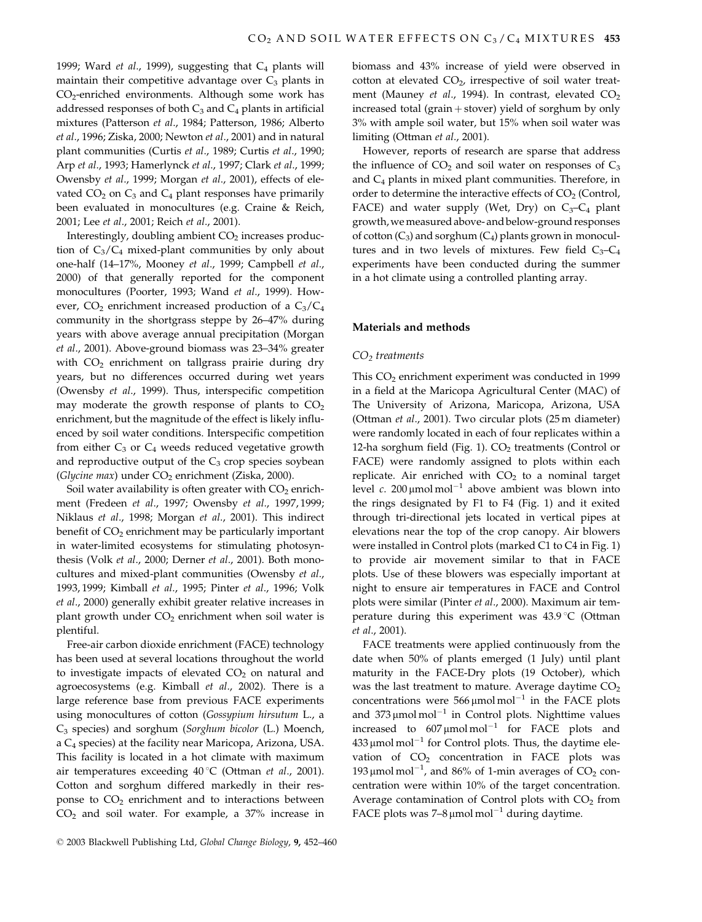1999; Ward et al., 1999), suggesting that  $C_4$  plants will maintain their competitive advantage over  $C_3$  plants in CO<sub>2</sub>-enriched environments. Although some work has addressed responses of both  $C_3$  and  $C_4$  plants in artificial mixtures (Patterson et al., 1984; Patterson, 1986; Alberto et al., 1996; Ziska, 2000; Newton et al., 2001) and in natural plant communities (Curtis et al., 1989; Curtis et al., 1990; Arp et al., 1993; Hamerlynck et al., 1997; Clark et al., 1999; Owensby et al., 1999; Morgan et al., 2001), effects of elevated  $CO<sub>2</sub>$  on  $C<sub>3</sub>$  and  $C<sub>4</sub>$  plant responses have primarily been evaluated in monocultures (e.g. Craine & Reich, 2001; Lee et al., 2001; Reich et al., 2001).

Interestingly, doubling ambient  $CO<sub>2</sub>$  increases production of  $C_3/C_4$  mixed-plant communities by only about one-half (14-17%, Mooney et al., 1999; Campbell et al., 2000) of that generally reported for the component monocultures (Poorter, 1993; Wand et al., 1999). However,  $CO_2$  enrichment increased production of a  $C_3/C_4$ community in the shortgrass steppe by 26–47% during years with above average annual precipitation (Morgan et al., 2001). Above-ground biomass was 23-34% greater with CO<sub>2</sub> enrichment on tallgrass prairie during dry years, but no differences occurred during wet years (Owensby et al., 1999). Thus, interspecific competition may moderate the growth response of plants to  $CO<sub>2</sub>$ enrichment, but the magnitude of the effect is likely influenced by soil water conditions. Interspecific competition from either  $C_3$  or  $C_4$  weeds reduced vegetative growth and reproductive output of the  $C_3$  crop species soybean (Glycine max) under CO<sub>2</sub> enrichment (Ziska, 2000).

Soil water availability is often greater with  $CO<sub>2</sub>$  enrichment (Fredeen et al., 1997; Owensby et al., 1997, 1999; Niklaus et al., 1998; Morgan et al., 2001). This indirect benefit of  $CO<sub>2</sub>$  enrichment may be particularly important in water-limited ecosystems for stimulating photosynthesis (Volk et al., 2000; Derner et al., 2001). Both monocultures and mixed-plant communities (Owensby et al., 1993, 1999; Kimball et al., 1995; Pinter et al., 1996; Volk et al., 2000) generally exhibit greater relative increases in plant growth under CO<sub>2</sub> enrichment when soil water is plentiful.

Free-air carbon dioxide enrichment (FACE) technology has been used at several locations throughout the world to investigate impacts of elevated  $CO<sub>2</sub>$  on natural and agroecosystems (e.g. Kimball et al., 2002). There is a large reference base from previous FACE experiments using monocultures of cotton (Gossypium hirsutum L., a C<sub>3</sub> species) and sorghum (Sorghum bicolor (L.) Moench, a  $C_4$  species) at the facility near Maricopa, Arizona, USA. This facility is located in a hot climate with maximum air temperatures exceeding  $40^{\circ}$ C (Ottman et al., 2001). Cotton and sorghum differed markedly in their response to CO<sub>2</sub> enrichment and to interactions between  $CO<sub>2</sub>$  and soil water. For example, a 37% increase in

biomass and 43% increase of yield were observed in cotton at elevated CO<sub>2</sub>, irrespective of soil water treatment (Mauney et al., 1994). In contrast, elevated CO<sub>2</sub> increased total (grain  $+$  stover) yield of sorghum by only 3% with ample soil water, but 15% when soil water was limiting (Ottman et al., 2001).

However, reports of research are sparse that address the influence of  $CO<sub>2</sub>$  and soil water on responses of  $C<sub>3</sub>$ and  $C_4$  plants in mixed plant communities. Therefore, in order to determine the interactive effects of  $CO<sub>2</sub>$  (Control, FACE) and water supply (Wet, Dry) on  $C_3-C_4$  plant growth, we measured above- and below-ground responses of cotton  $(C_3)$  and sorghum  $(C_4)$  plants grown in monocultures and in two levels of mixtures. Few field  $C_3-C_4$ experiments have been conducted during the summer in a hot climate using a controlled planting array.

#### Materials and methods

#### $CO<sub>2</sub>$  treatments

This  $CO<sub>2</sub>$  enrichment experiment was conducted in 1999 in a field at the Maricopa Agricultural Center (MAC) of The University of Arizona, Maricopa, Arizona, USA (Ottman et al., 2001). Two circular plots (25 m diameter) were randomly located in each of four replicates within a 12-ha sorghum field (Fig. 1). CO<sub>2</sub> treatments (Control or FACE) were randomly assigned to plots within each replicate. Air enriched with  $CO<sub>2</sub>$  to a nominal target level c. 200  $\mu$ mol mol<sup>-1</sup> above ambient was blown into the rings designated by F1 to F4 (Fig. 1) and it exited through tri-directional jets located in vertical pipes at elevations near the top of the crop canopy. Air blowers were installed in Control plots (marked C1 to C4 in Fig. 1) to provide air movement similar to that in FACE plots. Use of these blowers was especially important at night to ensure air temperatures in FACE and Control plots were similar (Pinter et al., 2000). Maximum air temperature during this experiment was 43.9 °C (Ottman et al., 2001).

FACE treatments were applied continuously from the date when 50% of plants emerged (1 July) until plant maturity in the FACE-Dry plots (19 October), which was the last treatment to mature. Average daytime  $CO<sub>2</sub>$ concentrations were 566  $\mu$ mol mol<sup>-1</sup> in the FACE plots and  $373 \mu$ mol mol<sup>-1</sup> in Control plots. Nighttime values increased to  $607 \mu$ molmol<sup>-1</sup> for FACE plots and  $433 \mu$ mol mol<sup>-1</sup> for Control plots. Thus, the daytime elevation of CO<sub>2</sub> concentration in FACE plots was 193 µmol mol<sup>-1</sup>, and 86% of 1-min averages of  $CO_2$  concentration were within 10% of the target concentration. Average contamination of Control plots with CO<sub>2</sub> from FACE plots was  $7-8 \mu$ mol mol<sup>-1</sup> during daytime.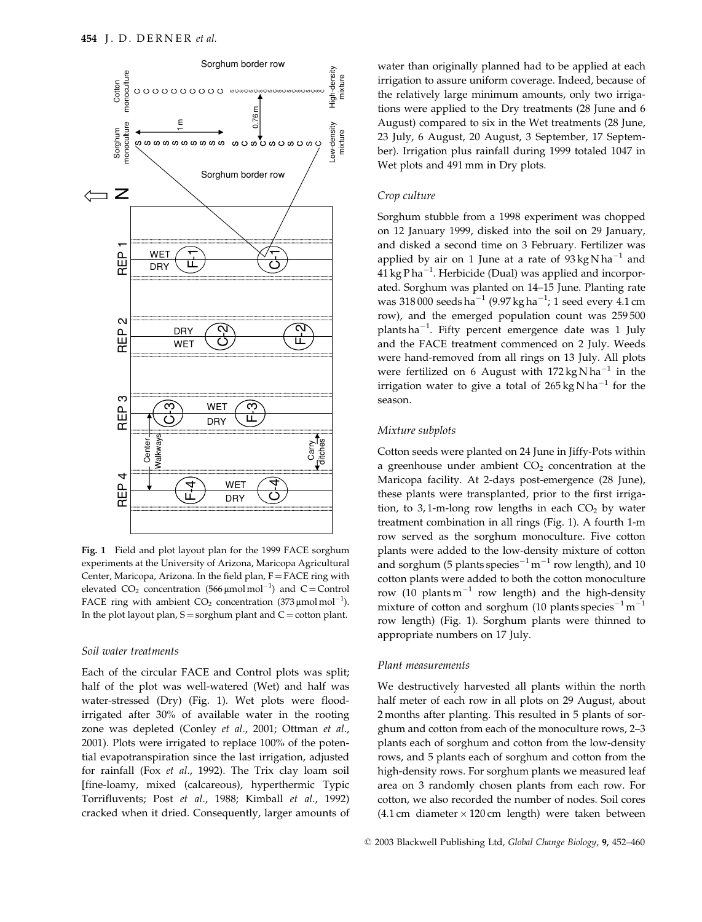

Fig. 1 Field and plot layout plan for the 1999 FACE sorghum experiments at the University of Arizona, Maricopa Agricultural Center, Maricopa, Arizona. In the field plan, F = FACE ring with elevated  $CO_2$  concentration (566 µmol mol<sup>-1</sup>) and C = Control FACE ring with ambient  $CO_2$  concentration (373 µmol mol<sup>-1</sup>). In the plot layout plan,  $S =$ sorghum plant and  $C =$ cotton plant.

## Soil water treatments

Each of the circular FACE and Control plots was split; half of the plot was well-watered (Wet) and half was water-stressed (Dry) (Fig. 1). Wet plots were floodirrigated after 30% of available water in the rooting zone was depleted (Conley et al., 2001; Ottman et al., 2001). Plots were irrigated to replace 100% of the potential evapotranspiration since the last irrigation, adjusted for rainfall (Fox et al., 1992). The Trix clay loam soil [fine-loamy, mixed (calcareous), hyperthermic Typic Torrifluvents; Post et al., 1988; Kimball et al., 1992) cracked when it dried. Consequently, larger amounts of water than originally planned had to be applied at each irrigation to assure uniform coverage. Indeed, because of the relatively large minimum amounts, only two irrigations were applied to the Dry treatments (28 June and 6 August) compared to six in the Wet treatments (28 June, 23 July, 6 August, 20 August, 3 September, 17 September). Irrigation plus rainfall during 1999 totaled 1047 in Wet plots and 491 mm in Dry plots.

#### Crop culture

Sorghum stubble from a 1998 experiment was chopped on 12 January 1999, disked into the soil on 29 January, and disked a second time on 3 February. Fertilizer was applied by air on 1 June at a rate of  $93 \text{ kg} \text{ N} \text{ ha}^{-1}$  and  $41 \text{ kg} \text{P} \text{ha}^{-1}$ . Herbicide (Dual) was applied and incorporated. Sorghum was planted on 14-15 June. Planting rate was 318 000 seeds ha<sup>-1</sup> (9.97 kg ha<sup>-1</sup>; 1 seed every 4.1 cm row), and the emerged population count was 259500 plants ha<sup>-1</sup>. Fifty percent emergence date was 1 July and the FACE treatment commenced on 2 July. Weeds were hand-removed from all rings on 13 July. All plots were fertilized on 6 August with  $172 \text{ kg} \text{N} \text{h} \text{a}^{-1}$  in the irrigation water to give a total of  $265 \text{ kg} \text{N} \text{ha}^{-1}$  for the season.

# Mixture subplots

Cotton seeds were planted on 24 June in Jiffy-Pots within a greenhouse under ambient  $CO<sub>2</sub>$  concentration at the Maricopa facility. At 2-days post-emergence (28 June), these plants were transplanted, prior to the first irrigation, to 3,1-m-long row lengths in each  $CO<sub>2</sub>$  by water treatment combination in all rings (Fig. 1). A fourth 1-m row served as the sorghum monoculture. Five cotton plants were added to the low-density mixture of cotton and sorghum (5 plants species<sup> $-1$ </sup> m<sup> $-1$ </sup> row length), and 10 cotton plants were added to both the cotton monoculture row (10 plants  $m^{-1}$  row length) and the high-density mixture of cotton and sorghum (10 plants species<sup>-1</sup> m<sup>-1</sup> row length) (Fig. 1). Sorghum plants were thinned to appropriate numbers on 17 July.

#### Plant measurements

We destructively harvested all plants within the north half meter of each row in all plots on 29 August, about 2 months after planting. This resulted in 5 plants of sorghum and cotton from each of the monoculture rows, 2-3 plants each of sorghum and cotton from the low-density rows, and 5 plants each of sorghum and cotton from the high-density rows. For sorghum plants we measured leaf area on 3 randomly chosen plants from each row. For cotton, we also recorded the number of nodes. Soil cores  $(4.1 \text{ cm}$  diameter  $\times$  120 cm length) were taken between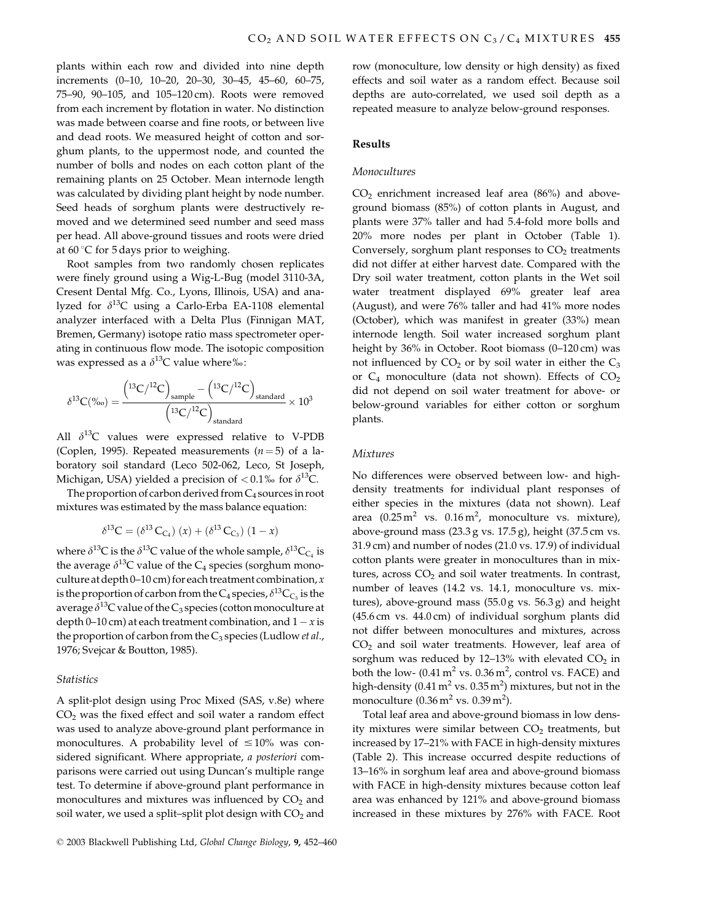plants within each row and divided into nine depth increments (0-10, 10-20, 20-30, 30-45, 45-60, 60-75, 75-90, 90-105, and 105-120 cm). Roots were removed from each increment by flotation in water. No distinction was made between coarse and fine roots, or between live and dead roots. We measured height of cotton and sorghum plants, to the uppermost node, and counted the number of bolls and nodes on each cotton plant of the remaining plants on 25 October. Mean internode length was calculated by dividing plant height by node number. Seed heads of sorghum plants were destructively removed and we determined seed number and seed mass per head. All above-ground tissues and roots were dried at 60 °C for 5 days prior to weighing.

Root samples from two randomly chosen replicates were finely ground using a Wig-L-Bug (model 3110-3A, Cresent Dental Mfg. Co., Lyons, Illinois, USA) and analyzed for  $\delta^{13}C$  using a Carlo-Erba EA-1108 elemental analyzer interfaced with a Delta Plus (Finnigan MAT, Bremen, Germany) isotope ratio mass spectrometer operating in continuous flow mode. The isotopic composition was expressed as a  $\delta^{13}$ C value where%:

$$
\delta^{13}C(\text{\%o}) = \frac{\left(^{13}C/^{12}C\right)_\text{sample} - \left(^{13}C/^{12}C\right)_\text{standard}}{\left(^{13}C/^{12}C\right)_\text{standard}} \times 10^3
$$

All  $\delta^{13}$ C values were expressed relative to V-PDB (Coplen, 1995). Repeated measurements  $(n=5)$  of a laboratory soil standard (Leco 502-062, Leco, St Joseph, Michigan, USA) yielded a precision of  $< 0.1\%$  for  $\delta^{13}C$ .

The proportion of carbon derived from  $C_4$  sources in root mixtures was estimated by the mass balance equation:

$$
\delta^{13}C = (\delta^{13} C_{C_4}) (x) + (\delta^{13} C_{C_3}) (1 - x)
$$

where  $\delta^{13}$ C is the  $\delta^{13}$ C value of the whole sample,  $\delta^{13}$ C<sub>C<sub>4</sub></sub> is the average  $\delta^{13}$ C value of the C<sub>4</sub> species (sorghum monoculture at depth  $0-10$  cm) for each treatment combination, x is the proportion of carbon from the C<sub>4</sub> species,  $\delta^{13}C_{C_3}$  is the average  $\delta^{13}$ C value of the C<sub>3</sub> species (cotton monoculture at depth 0–10 cm) at each treatment combination, and  $1 - x$  is the proportion of carbon from the  $C_3$  species (Ludlow *et al.*, 1976; Svejcar & Boutton, 1985).

# **Statistics**

A split-plot design using Proc Mixed (SAS, v.8e) where  $CO<sub>2</sub>$  was the fixed effect and soil water a random effect was used to analyze above-ground plant performance in monocultures. A probability level of  $\leq 10\%$  was considered significant. Where appropriate, a posteriori comparisons were carried out using Duncan's multiple range test. To determine if above-ground plant performance in monocultures and mixtures was influenced by CO<sub>2</sub> and soil water, we used a split-split plot design with  $CO<sub>2</sub>$  and

row (monoculture, low density or high density) as fixed effects and soil water as a random effect. Because soil depths are auto-correlated, we used soil depth as a repeated measure to analyze below-ground responses.

## **Results**

## Monocultures

 $CO<sub>2</sub>$  enrichment increased leaf area (86%) and aboveground biomass (85%) of cotton plants in August, and plants were 37% taller and had 5.4-fold more bolls and 20% more nodes per plant in October (Table 1). Conversely, sorghum plant responses to CO<sub>2</sub> treatments did not differ at either harvest date. Compared with the Dry soil water treatment, cotton plants in the Wet soil water treatment displayed 69% greater leaf area (August), and were 76% taller and had 41% more nodes (October), which was manifest in greater (33%) mean internode length. Soil water increased sorghum plant height by 36% in October. Root biomass (0-120 cm) was not influenced by  $CO<sub>2</sub>$  or by soil water in either the  $C<sub>3</sub>$ or  $C_4$  monoculture (data not shown). Effects of  $CO_2$ did not depend on soil water treatment for above- or below-ground variables for either cotton or sorghum plants.

#### **Mixtures**

No differences were observed between low- and highdensity treatments for individual plant responses of either species in the mixtures (data not shown). Leaf area  $(0.25 \text{ m}^2 \text{ vs. } 0.16 \text{ m}^2, \text{ monoculture vs. mixture})$ above-ground mass  $(23.3 g vs. 17.5 g)$ , height  $(37.5 cm vs.$ 31.9 cm) and number of nodes (21.0 vs. 17.9) of individual cotton plants were greater in monocultures than in mixtures, across  $CO<sub>2</sub>$  and soil water treatments. In contrast, number of leaves (14.2 vs. 14.1, monoculture vs. mixtures), above-ground mass  $(55.0 g \text{ vs. } 56.3 g)$  and height (45.6 cm vs. 44.0 cm) of individual sorghum plants did not differ between monocultures and mixtures, across  $CO<sub>2</sub>$  and soil water treatments. However, leaf area of sorghum was reduced by 12-13% with elevated  $CO<sub>2</sub>$  in both the low-  $(0.41 \text{ m}^2 \text{ vs. } 0.36 \text{ m}^2)$ , control vs. FACE) and high-density (0.41 m<sup>2</sup> vs. 0.35 m<sup>2</sup>) mixtures, but not in the monoculture  $(0.36 \,\mathrm{m}^2 \,\mathrm{vs.}\, 0.39 \,\mathrm{m}^2)$ .

Total leaf area and above-ground biomass in low density mixtures were similar between CO<sub>2</sub> treatments, but increased by 17-21% with FACE in high-density mixtures (Table 2). This increase occurred despite reductions of 13-16% in sorghum leaf area and above-ground biomass with FACE in high-density mixtures because cotton leaf area was enhanced by 121% and above-ground biomass increased in these mixtures by 276% with FACE. Root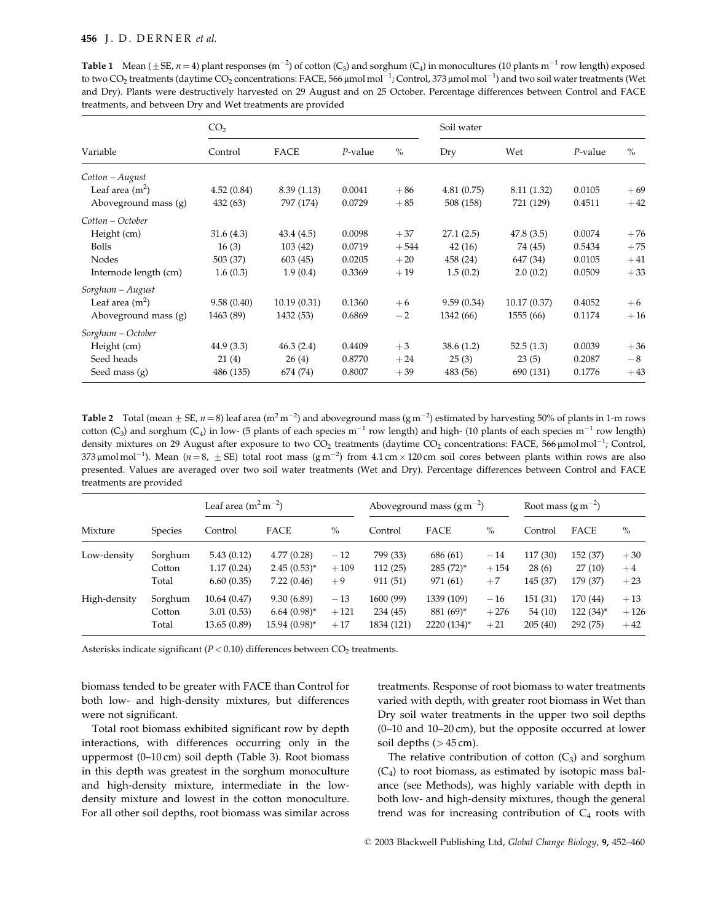| treatments, and between Dry and Wet treatments are provided |            |
|-------------------------------------------------------------|------------|
| CO <sub>2</sub>                                             | Soil water |

**Table 1** Mean ( $\pm$ SE,  $n=4$ ) plant responses (m<sup>-2</sup>) of cotton (C<sub>3</sub>) and sorghum (C<sub>4</sub>) in monocultures (10 plants m<sup>-1</sup> row length) exposed

| Variable              | Control    | FACE        | $P$ -value | $\%$   | Dry        | Wet         | $P$ -value | $\%$  |
|-----------------------|------------|-------------|------------|--------|------------|-------------|------------|-------|
| Cotton – August       |            |             |            |        |            |             |            |       |
| Leaf area $(m2)$      | 4.52(0.84) | 8.39(1.13)  | 0.0041     | $+86$  | 4.81(0.75) | 8.11 (1.32) | 0.0105     | $+69$ |
| Aboveground mass (g)  | 432 (63)   | 797 (174)   | 0.0729     | $+85$  | 508 (158)  | 721 (129)   | 0.4511     | $+42$ |
| Cotton – October      |            |             |            |        |            |             |            |       |
| Height (cm)           | 31.6(4.3)  | 43.4(4.5)   | 0.0098     | $+37$  | 27.1(2.5)  | 47.8(3.5)   | 0.0074     | $+76$ |
| <b>Bolls</b>          | 16(3)      | 103(42)     | 0.0719     | $+544$ | 42(16)     | 74 (45)     | 0.5434     | $+75$ |
| Nodes                 | 503 (37)   | 603(45)     | 0.0205     | $+20$  | 458 (24)   | 647 (34)    | 0.0105     | $+41$ |
| Internode length (cm) | 1.6(0.3)   | 1.9(0.4)    | 0.3369     | $+19$  | 1.5(0.2)   | 2.0(0.2)    | 0.0509     | $+33$ |
| Sorghum - August      |            |             |            |        |            |             |            |       |
| Leaf area $(m2)$      | 9.58(0.40) | 10.19(0.31) | 0.1360     | $+6$   | 9.59(0.34) | 10.17(0.37) | 0.4052     | $+6$  |
| Aboveground mass (g)  | 1463 (89)  | 1432 (53)   | 0.6869     | $-2$   | 1342 (66)  | 1555 (66)   | 0.1174     | $+16$ |
| Sorghum - October     |            |             |            |        |            |             |            |       |
| Height (cm)           | 44.9(3.3)  | 46.3(2.4)   | 0.4409     | $+3$   | 38.6(1.2)  | 52.5(1.3)   | 0.0039     | $+36$ |
| Seed heads            | 21(4)      | 26(4)       | 0.8770     | $+24$  | 25(3)      | 23(5)       | 0.2087     | $-8$  |
| Seed mass (g)         | 486 (135)  | 674 (74)    | 0.8007     | $+39$  | 483 (56)   | 690 (131)   | 0.1776     | $+43$ |

Table 2 Total (mean  $\pm$  SE,  $n=8$ ) leaf area (m<sup>2</sup> m<sup>-2</sup>) and aboveground mass (g m<sup>-2</sup>) estimated by harvesting 50% of plants in 1-m rows cotton (C<sub>3</sub>) and sorghum (C<sub>4</sub>) in low- (5 plants of each species  $m^{-1}$  row length) and high- (10 plants of each species  $m^{-1}$  row length) density mixtures on 29 August after exposure to two  $CO_2$  treatments (daytime  $CO_2$  concentrations: FACE, 566 µmolmol<sup>-1</sup>; Control, 373 µmol mol<sup>-1</sup>). Mean (n = 8,  $\pm$  SE) total root mass (g m<sup>-2</sup>) from 4.1 cm × 120 cm soil cores between plants within rows are also presented. Values are averaged over two soil water treatments (Wet and Dry). Percentage differences between Control and FACE treatments are provided

|              | <b>Species</b> | Leaf area $(m^2 m^{-2})$ |                  |        | Aboveground mass $(g m^{-2})$ |              |        | Root mass $(g m^{-2})$ |             |        |
|--------------|----------------|--------------------------|------------------|--------|-------------------------------|--------------|--------|------------------------|-------------|--------|
| Mixture      |                | Control                  | FACE             | $\%$   | Control                       | <b>FACE</b>  | $\%$   | Control                | FACE        | $\%$   |
| Low-density  | Sorghum        | 5.43(0.12)               | 4.77(0.28)       | $-12$  | 799 (33)                      | 686 (61)     | $-14$  | 117 (30)               | 152(37)     | $+30$  |
|              | Cotton         | 1.17(0.24)               | $2.45(0.53)^{*}$ | $+109$ | 112(25)                       | $285 (72)^*$ | $+154$ | 28(6)                  | 27(10)      | $+4$   |
|              | Total          | 6.60(0.35)               | 7.22(0.46)       | $+9$   | 911 (51)                      | 971 (61)     | $+7$   | 145 (37)               | 179 (37)    | $+23$  |
| High-density | Sorghum        | 10.64(0.47)              | 9.30(6.89)       | $-13$  | 1600 (99)                     | 1339 (109)   | $-16$  | 151(31)                | 170 (44)    | $+13$  |
|              | Cotton         | 3.01(0.53)               | $6.64(0.98)$ *   | $+121$ | 234 (45)                      | 881 (69)*    | $+276$ | 54 (10)                | $122(34)^*$ | $+126$ |
|              | Total          | 13.65 (0.89)             | 15.94 (0.98)*    | $+17$  | 1834 (121)                    | 2220 (134)*  | $+21$  | 205(40)                | 292 (75)    | $+42$  |

Asterisks indicate significant ( $P < 0.10$ ) differences between  $CO<sub>2</sub>$  treatments.

biomass tended to be greater with FACE than Control for both low- and high-density mixtures, but differences were not significant.

Total root biomass exhibited significant row by depth interactions, with differences occurring only in the uppermost (0-10 cm) soil depth (Table 3). Root biomass in this depth was greatest in the sorghum monoculture and high-density mixture, intermediate in the lowdensity mixture and lowest in the cotton monoculture. For all other soil depths, root biomass was similar across

treatments. Response of root biomass to water treatments varied with depth, with greater root biomass in Wet than Dry soil water treatments in the upper two soil depths  $(0-10$  and  $10-20$  cm), but the opposite occurred at lower soil depths  $(>45 \text{ cm})$ .

The relative contribution of cotton  $(C_3)$  and sorghum  $(C_4)$  to root biomass, as estimated by isotopic mass balance (see Methods), was highly variable with depth in both low- and high-density mixtures, though the general trend was for increasing contribution of  $C_4$  roots with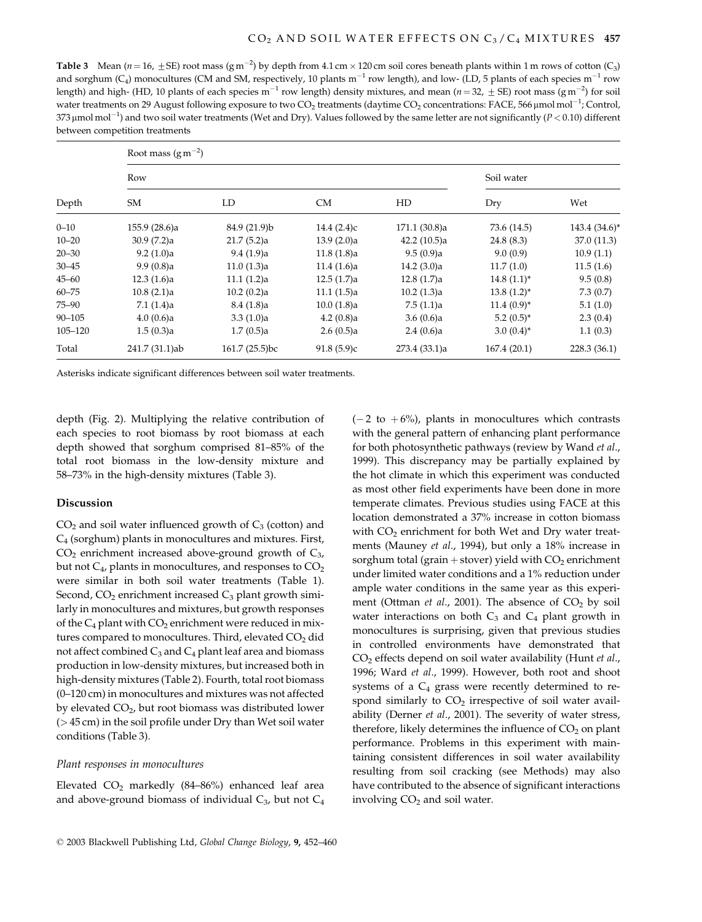Table 3 Mean ( $n=16$ ,  $\pm$  SE) root mass (g m<sup>-2</sup>) by depth from 4.1 cm × 120 cm soil cores beneath plants within 1 m rows of cotton (C<sub>3</sub>) and sorghum (C<sub>4</sub>) monocultures (CM and SM, respectively, 10 plants  $m^{-1}$  row length), and low- (LD, 5 plants of each species  $m^{-1}$  row length) and high- (HD, 10 plants of each species  $m^{-1}$  row length) density mixtures, and mean ( $n = 32$ ,  $\pm$  SE) root mass (g m<sup>-2</sup>) for soil water treatments on 29 August following exposure to two CO<sub>2</sub> treatments (daytime CO<sub>2</sub> concentrations: FACE, 566 µmol mol<sup>-1</sup>; Control, 373  $\mu$ mol mol<sup>-1</sup>) and two soil water treatments (Wet and Dry). Values followed by the same letter are not significantly ( $P < 0.10$ ) different between competition treatments

| Depth       | Root mass $(g m^{-2})$ |                |            |                |                 |                 |  |  |  |  |
|-------------|------------------------|----------------|------------|----------------|-----------------|-----------------|--|--|--|--|
|             | Row                    | Soil water     |            |                |                 |                 |  |  |  |  |
|             | SM                     | LD             | CM         | HD             | Dry             | Wet             |  |  |  |  |
| $0 - 10$    | 155.9 (28.6)a          | 84.9 (21.9)b   | 14.4(2.4)c | 171.1(30.8)a   | 73.6 (14.5)     | $143.4(34.6)^*$ |  |  |  |  |
| $10 - 20$   | 30.9(7.2)a             | 21.7(5.2)a     | 13.9(2.0)a | 42.2 $(10.5)a$ | 24.8(8.3)       | 37.0 (11.3)     |  |  |  |  |
| $20 - 30$   | 9.2(1.0)a              | 9.4(1.9)a      | 11.8(1.8)a | 9.5(0.9)a      | 9.0(0.9)        | 10.9(1.1)       |  |  |  |  |
| $30 - 45$   | 9.9(0.8)a              | 11.0(1.3)a     | 11.4(1.6)a | 14.2(3.0)a     | 11.7(1.0)       | 11.5(1.6)       |  |  |  |  |
| $45 - 60$   | 12.3(1.6)a             | 11.1(1.2)a     | 12.5(1.7)a | 12.8(1.7)a     | $14.8(1.1)^*$   | 9.5(0.8)        |  |  |  |  |
| $60 - 75$   | 10.8(2.1)a             | 10.2 (0.2)a    | 11.1(1.5)a | 10.2(1.3)a     | $13.8(1.2)^{*}$ | 7.3(0.7)        |  |  |  |  |
| $75 - 90$   | 7.1(1.4)a              | 8.4(1.8)a      | 10.0(1.8)a | 7.5(1.1)a      | $11.4(0.9)^{*}$ | 5.1(1.0)        |  |  |  |  |
| $90 - 105$  | 4.0(0.6)a              | 3.3(1.0)a      | 4.2(0.8)a  | 3.6(0.6)a      | $5.2(0.5)^{*}$  | 2.3(0.4)        |  |  |  |  |
| $105 - 120$ | 1.5(0.3)a              | 1.7(0.5)a      | 2.6(0.5)a  | 2.4(0.6)a      | $3.0(0.4)$ *    | 1.1(0.3)        |  |  |  |  |
| Total       | 241.7 (31.1)ab         | 161.7 (25.5)bc | 91.8(5.9)c | 273.4 (33.1)a  | 167.4(20.1)     | 228.3 (36.1)    |  |  |  |  |

Asterisks indicate significant differences between soil water treatments.

depth (Fig. 2). Multiplying the relative contribution of each species to root biomass by root biomass at each depth showed that sorghum comprised 81-85% of the total root biomass in the low-density mixture and 58-73% in the high-density mixtures (Table 3).

# Discussion

 $CO<sub>2</sub>$  and soil water influenced growth of  $C<sub>3</sub>$  (cotton) and  $C_4$  (sorghum) plants in monocultures and mixtures. First,  $CO<sub>2</sub>$  enrichment increased above-ground growth of  $C<sub>3</sub>$ , but not  $C_4$ , plants in monocultures, and responses to  $CO_2$ were similar in both soil water treatments (Table 1). Second,  $CO<sub>2</sub>$  enrichment increased  $C<sub>3</sub>$  plant growth similarly in monocultures and mixtures, but growth responses of the  $C_4$  plant with  $CO_2$  enrichment were reduced in mixtures compared to monocultures. Third, elevated CO<sub>2</sub> did not affect combined  $C_3$  and  $C_4$  plant leaf area and biomass production in low-density mixtures, but increased both in high-density mixtures (Table 2). Fourth, total root biomass  $(0-120 \text{ cm})$  in monocultures and mixtures was not affected by elevated CO<sub>2</sub>, but root biomass was distributed lower  $($  > 45 cm) in the soil profile under Dry than Wet soil water conditions (Table 3).

## Plant responses in monocultures

Elevated CO<sub>2</sub> markedly (84-86%) enhanced leaf area and above-ground biomass of individual  $C_3$ , but not  $C_4$   $(-2$  to  $+6\%)$ , plants in monocultures which contrasts with the general pattern of enhancing plant performance for both photosynthetic pathways (review by Wand et al., 1999). This discrepancy may be partially explained by the hot climate in which this experiment was conducted as most other field experiments have been done in more temperate climates. Previous studies using FACE at this location demonstrated a 37% increase in cotton biomass with CO<sub>2</sub> enrichment for both Wet and Dry water treatments (Mauney et al., 1994), but only a 18% increase in sorghum total (grain + stover) yield with  $CO<sub>2</sub>$  enrichment under limited water conditions and a 1% reduction under ample water conditions in the same year as this experiment (Ottman et al., 2001). The absence of  $CO<sub>2</sub>$  by soil water interactions on both  $C_3$  and  $C_4$  plant growth in monocultures is surprising, given that previous studies in controlled environments have demonstrated that CO<sub>2</sub> effects depend on soil water availability (Hunt et al., 1996; Ward et al., 1999). However, both root and shoot systems of a  $C_4$  grass were recently determined to respond similarly to  $CO<sub>2</sub>$  irrespective of soil water availability (Derner et al., 2001). The severity of water stress, therefore, likely determines the influence of  $CO<sub>2</sub>$  on plant performance. Problems in this experiment with maintaining consistent differences in soil water availability resulting from soil cracking (see Methods) may also have contributed to the absence of significant interactions involving CO<sub>2</sub> and soil water.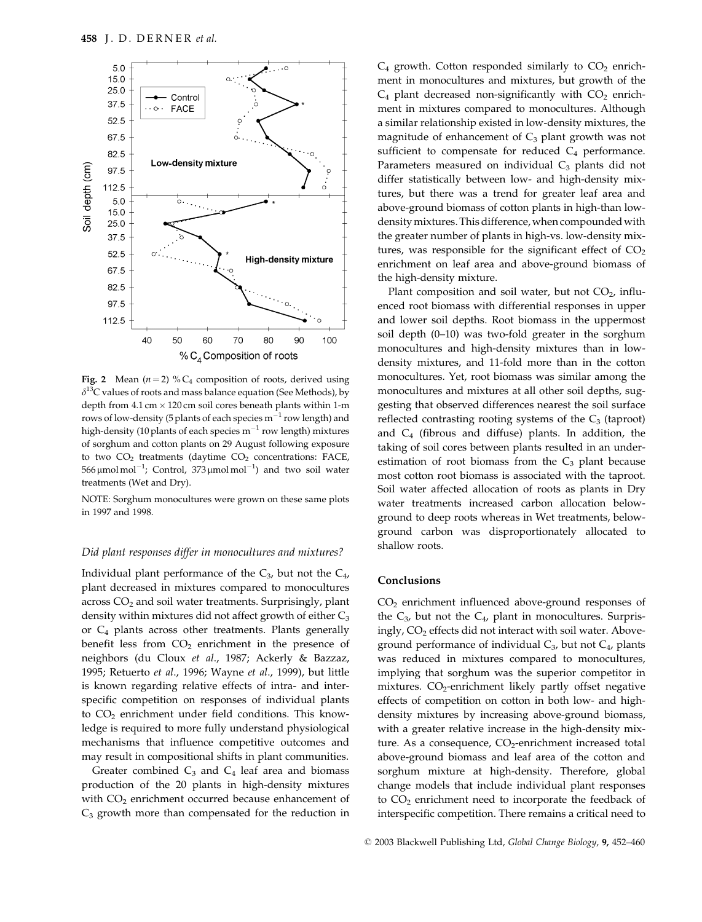

Fig. 2 Mean ( $n = 2$ ) % C<sub>4</sub> composition of roots, derived using  $\delta^{13}$ C values of roots and mass balance equation (See Methods), by depth from  $4.1 \text{ cm} \times 120 \text{ cm}$  soil cores beneath plants within 1-m rows of low-density (5 plants of each species  $m^{-1}$  row length) and high-density (10 plants of each species  $m^{-1}$  row length) mixtures of sorghum and cotton plants on 29 August following exposure to two  $CO<sub>2</sub>$  treatments (daytime  $CO<sub>2</sub>$  concentrations: FACE, 566  $\mu$ mol mol<sup>-1</sup>; Control, 373  $\mu$ mol mol<sup>-1</sup>) and two soil water treatments (Wet and Dry).

NOTE: Sorghum monocultures were grown on these same plots in 1997 and 1998.

#### Did plant responses differ in monocultures and mixtures?

Individual plant performance of the  $C_3$ , but not the  $C_4$ , plant decreased in mixtures compared to monocultures  $across CO<sub>2</sub>$  and soil water treatments. Surprisingly, plant density within mixtures did not affect growth of either C<sub>3</sub> or  $C_4$  plants across other treatments. Plants generally benefit less from  $CO<sub>2</sub>$  enrichment in the presence of neighbors (du Cloux et al., 1987; Ackerly & Bazzaz, 1995; Retuerto et al., 1996; Wayne et al., 1999), but little is known regarding relative effects of intra- and interspecific competition on responses of individual plants to CO<sub>2</sub> enrichment under field conditions. This knowledge is required to more fully understand physiological mechanisms that influence competitive outcomes and may result in compositional shifts in plant communities.

Greater combined  $C_3$  and  $C_4$  leaf area and biomass production of the 20 plants in high-density mixtures with  $CO<sub>2</sub>$  enrichment occurred because enhancement of  $C_3$  growth more than compensated for the reduction in  $C_4$  growth. Cotton responded similarly to  $CO_2$  enrichment in monocultures and mixtures, but growth of the  $C_4$  plant decreased non-significantly with  $CO_2$  enrichment in mixtures compared to monocultures. Although a similar relationship existed in low-density mixtures, the magnitude of enhancement of  $C_3$  plant growth was not sufficient to compensate for reduced C<sub>4</sub> performance. Parameters measured on individual  $C_3$  plants did not differ statistically between low- and high-density mixtures, but there was a trend for greater leaf area and above-ground biomass of cotton plants in high-than lowdensity mixtures. This difference, when compounded with the greater number of plants in high-vs. low-density mixtures, was responsible for the significant effect of  $CO<sub>2</sub>$ enrichment on leaf area and above-ground biomass of the high-density mixture.

Plant composition and soil water, but not  $CO<sub>2</sub>$ , influenced root biomass with differential responses in upper and lower soil depths. Root biomass in the uppermost soil depth (0-10) was two-fold greater in the sorghum monocultures and high-density mixtures than in lowdensity mixtures, and 11-fold more than in the cotton monocultures. Yet, root biomass was similar among the monocultures and mixtures at all other soil depths, suggesting that observed differences nearest the soil surface reflected contrasting rooting systems of the  $C_3$  (taproot) and  $C_4$  (fibrous and diffuse) plants. In addition, the taking of soil cores between plants resulted in an underestimation of root biomass from the  $C_3$  plant because most cotton root biomass is associated with the taproot. Soil water affected allocation of roots as plants in Dry water treatments increased carbon allocation belowground to deep roots whereas in Wet treatments, belowground carbon was disproportionately allocated to shallow roots.

# Conclusions

 $CO<sub>2</sub>$  enrichment influenced above-ground responses of the  $C_3$ , but not the  $C_4$ , plant in monocultures. Surprisingly, CO<sub>2</sub> effects did not interact with soil water. Aboveground performance of individual  $C_3$ , but not  $C_4$ , plants was reduced in mixtures compared to monocultures, implying that sorghum was the superior competitor in mixtures. CO<sub>2</sub>-enrichment likely partly offset negative effects of competition on cotton in both low- and highdensity mixtures by increasing above-ground biomass, with a greater relative increase in the high-density mixture. As a consequence,  $CO_2$ -enrichment increased total above-ground biomass and leaf area of the cotton and sorghum mixture at high-density. Therefore, global change models that include individual plant responses to CO<sub>2</sub> enrichment need to incorporate the feedback of interspecific competition. There remains a critical need to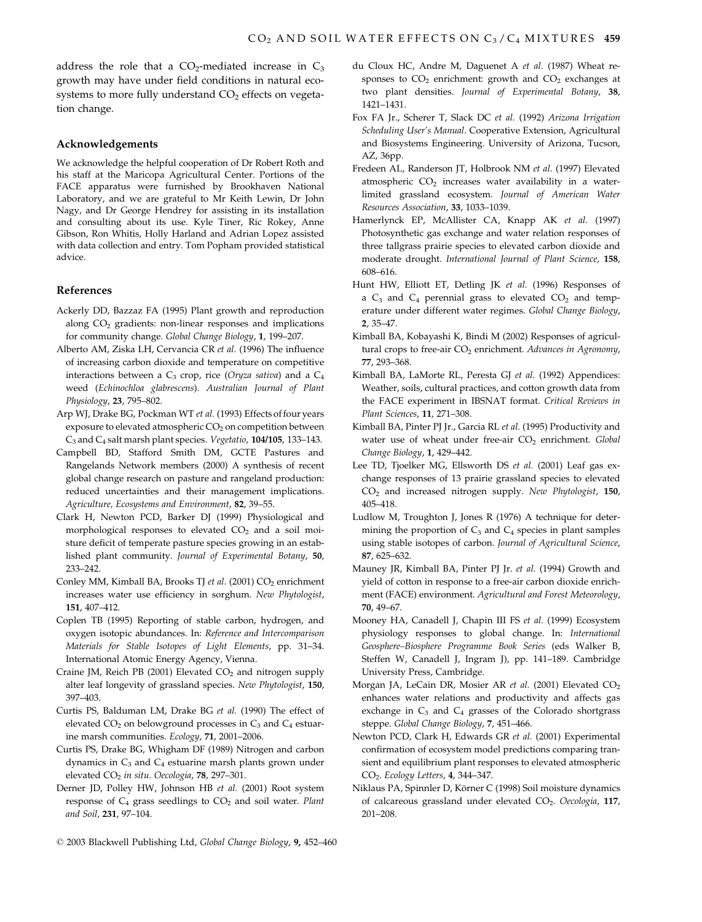address the role that a  $CO<sub>2</sub>$ -mediated increase in  $C<sub>3</sub>$ growth may have under field conditions in natural ecosystems to more fully understand CO<sub>2</sub> effects on vegetation change.

#### Acknowledgements

We acknowledge the helpful cooperation of Dr Robert Roth and his staff at the Maricopa Agricultural Center. Portions of the FACE apparatus were furnished by Brookhaven National Laboratory, and we are grateful to Mr Keith Lewin, Dr John Nagy, and Dr George Hendrey for assisting in its installation and consulting about its use. Kyle Tiner, Ric Rokey, Anne Gibson, Ron Whitis, Holly Harland and Adrian Lopez assisted with data collection and entry. Tom Popham provided statistical advice.

## References

- Ackerly DD, Bazzaz FA (1995) Plant growth and reproduction along  $CO<sub>2</sub>$  gradients: non-linear responses and implications for community change. Global Change Biology, 1, 199-207.
- Alberto AM, Ziska LH, Cervancia CR et al. (1996) The influence of increasing carbon dioxide and temperature on competitive interactions between a  $C_3$  crop, rice (Oryza sativa) and a  $C_4$ weed (Echinochloa glabrescens). Australian Journal of Plant Physiology, 23, 795-802.
- Arp WJ, Drake BG, Pockman WT et al. (1993) Effects of four years exposure to elevated atmospheric CO<sub>2</sub> on competition between C<sub>3</sub> and C<sub>4</sub> salt marsh plant species. Vegetatio, 104/105, 133-143.
- Campbell BD, Stafford Smith DM, GCTE Pastures and Rangelands Network members (2000) A synthesis of recent global change research on pasture and rangeland production: reduced uncertainties and their management implications. Agriculture, Ecosystems and Environment, 82, 39-55.
- Clark H, Newton PCD, Barker DJ (1999) Physiological and morphological responses to elevated  $CO<sub>2</sub>$  and a soil moisture deficit of temperate pasture species growing in an established plant community. Journal of Experimental Botany, 50, 233-242
- Conley MM, Kimball BA, Brooks TJ et al. (2001) CO<sub>2</sub> enrichment increases water use efficiency in sorghum. New Phytologist, 151, 407-412.
- Coplen TB (1995) Reporting of stable carbon, hydrogen, and oxygen isotopic abundances. In: Reference and Intercomparison Materials for Stable Isotopes of Light Elements, pp. 31-34. International Atomic Energy Agency, Vienna.
- Craine JM, Reich PB (2001) Elevated  $CO<sub>2</sub>$  and nitrogen supply alter leaf longevity of grassland species. New Phytologist, 150, 397-403
- Curtis PS, Balduman LM, Drake BG et al. (1990) The effect of elevated  $CO<sub>2</sub>$  on belowground processes in  $C<sub>3</sub>$  and  $C<sub>4</sub>$  estuarine marsh communities. Ecology, 71, 2001-2006.
- Curtis PS, Drake BG, Whigham DF (1989) Nitrogen and carbon dynamics in  $C_3$  and  $C_4$  estuarine marsh plants grown under elevated CO<sub>2</sub> in situ. Oecologia, 78, 297-301.
- Derner JD, Polley HW, Johnson HB et al. (2001) Root system response of  $C_4$  grass seedlings to  $CO_2$  and soil water. Plant and Soil, 231, 97-104.
- © 2003 Blackwell Publishing Ltd, Global Change Biology, 9, 452-460
- du Cloux HC, Andre M, Daguenet A et al. (1987) Wheat responses to  $CO<sub>2</sub>$  enrichment: growth and  $CO<sub>2</sub>$  exchanges at two plant densities. Journal of Experimental Botany, 38, 1421-1431.
- Fox FA Jr., Scherer T, Slack DC et al. (1992) Arizona Irrigation Scheduling User's Manual. Cooperative Extension, Agricultural and Biosystems Engineering. University of Arizona, Tucson, AZ, 36pp.
- Fredeen AL, Randerson JT, Holbrook NM et al. (1997) Elevated atmospheric CO<sub>2</sub> increases water availability in a waterlimited grassland ecosystem. Journal of American Water Resources Association, 33, 1033-1039.
- Hamerlynck EP, McAllister CA, Knapp AK et al. (1997) Photosynthetic gas exchange and water relation responses of three tallgrass prairie species to elevated carbon dioxide and moderate drought. International Journal of Plant Science, 158, 608-616.
- Hunt HW, Elliott ET, Detling JK et al. (1996) Responses of a  $C_3$  and  $C_4$  perennial grass to elevated  $CO_2$  and temperature under different water regimes. Global Change Biology,  $2, 35 - 47.$
- Kimball BA, Kobayashi K, Bindi M (2002) Responses of agricultural crops to free-air CO<sub>2</sub> enrichment. Advances in Agronomy, 77, 293-368.
- Kimball BA, LaMorte RL, Peresta GJ et al. (1992) Appendices: Weather, soils, cultural practices, and cotton growth data from the FACE experiment in IBSNAT format. Critical Reviews in Plant Sciences, 11, 271-308.
- Kimball BA, Pinter PJ Jr., Garcia RL et al. (1995) Productivity and water use of wheat under free-air CO<sub>2</sub> enrichment. Global Change Biology, 1, 429-442.
- Lee TD, Tjoelker MG, Ellsworth DS et al. (2001) Leaf gas exchange responses of 13 prairie grassland species to elevated CO<sub>2</sub> and increased nitrogen supply. New Phytologist, 150, 405-418.
- Ludlow M, Troughton J, Jones R (1976) A technique for determining the proportion of  $C_3$  and  $C_4$  species in plant samples using stable isotopes of carbon. Journal of Agricultural Science, 87, 625-632.
- Mauney JR, Kimball BA, Pinter PJ Jr. et al. (1994) Growth and yield of cotton in response to a free-air carbon dioxide enrichment (FACE) environment. Agricultural and Forest Meteorology, 70, 49-67.
- Mooney HA, Canadell J, Chapin III FS et al. (1999) Ecosystem physiology responses to global change. In: International Geosphere-Biosphere Programme Book Series (eds Walker B, Steffen W, Canadell J, Ingram J), pp. 141-189. Cambridge University Press, Cambridge.
- Morgan JA, LeCain DR, Mosier AR et al. (2001) Elevated CO<sub>2</sub> enhances water relations and productivity and affects gas exchange in  $C_3$  and  $C_4$  grasses of the Colorado shortgrass steppe. Global Change Biology, 7, 451-466.
- Newton PCD, Clark H, Edwards GR et al. (2001) Experimental confirmation of ecosystem model predictions comparing transient and equilibrium plant responses to elevated atmospheric CO<sub>2</sub>. Ecology Letters, 4, 344-347.
- Niklaus PA, Spinnler D, Körner C (1998) Soil moisture dynamics of calcareous grassland under elevated CO<sub>2</sub>. Oecologia, 117,  $201 - 208$ .